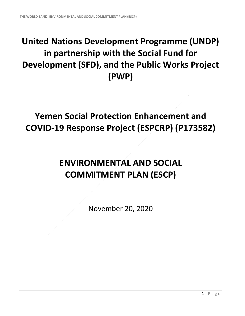## **United Nations Development Programme (UNDP) in partnership with the Social Fund for Development (SFD), and the Public Works Project (PWP)**

## **Yemen Social Protection Enhancement and COVID-19 Response Project (ESPCRP) (P173582)**

## **ENVIRONMENTAL AND SOCIAL COMMITMENT PLAN (ESCP)**

November 20, 2020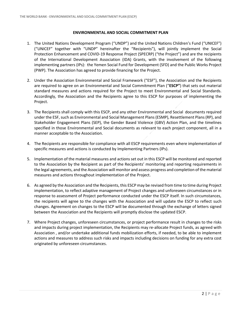## **ENVIRONMENTAL AND SOCIAL COMMITMENT PLAN**

- 1. The United Nations Development Program ("UNDP") and the United Nations Children's Fund ("UNICEF") ("UNICEF" together with "UNDP" hereinafter the "Recipients"), will jointly implement the Social Protection Enhancement and COVID-19 Response Project (SPECRP) ("the Project") and are the recipients of the International Development Association (IDA) Grants, with the involvement of the following implementing partners (IPs): the Yemen Social Fund for Development (SFD) and the Public Works Project (PWP). The Association has agreed to provide financing for the Project.
- 2. Under the Association Environmental and Social Framework ("ESF"), the Association and the Recipients are required to agree on an Environmental and Social Commitment Plan ("**ESCP"**) that sets out material standard measures and actions required for the Project to meet Environmental and Social Standards. Accordingly, the Association and the Recipients agree to this ESCP for purposes of implementing the Project.
- 3. The Recipients shall comply with this ESCP, and any other Environmental and Social documents required under the ESF, such as Environmental and Social Management Plans (ESMP), Resettlement Plans (RP), and Stakeholder Engagement Plans (SEP), the Gender Based Violence (GBV) Action Plan, and the timelines specified in those Environmental and Social documents as relevant to each project component, all in a manner acceptable to the Association.
- 4. The Recipients are responsible for compliance with all ESCP requirements even where implementation of specific measures and actions is conducted by Implementing Partners (IPs).
- 5. Implementation of the material measures and actions set out in this ESCP will be monitored and reported to the Association by the Recipient as part of the Recipients' monitoring and reporting requirements in the legal agreements, and the Association will monitor and assess progress and completion of the material measures and actions throughout implementation of the Project.
- 6. As agreed by the Association and the Recipients, this ESCP may be revised from time to time during Project implementation, to reflect adaptive management of Project changes and unforeseen circumstances or in response to assessment of Project performance conducted under the ESCP itself. In such circumstances, the recipients will agree to the changes with the Association and will update the ESCP to reflect such changes. Agreement on changes to the ESCP will be documented through the exchange of letters signed between the Association and the Recipients will promptly disclose the updated ESCP.
- 7. Where Project changes, unforeseen circumstances, or project performance result in changes to the risks and impacts during project implementation, the Recipients may re-allocate Project funds, as agreed with Association , and/or undertake additional funds mobilization efforts, if needed, to be able to implement actions and measures to address such risks and impacts including decisions on funding for any extra cost originated by unforeseen circumstances.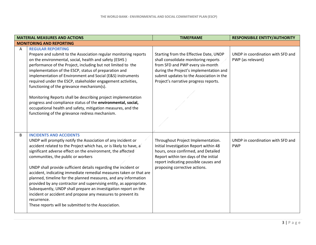|   | <b>MATERIAL MEASURES AND ACTIONS</b>                                                                                                                                                                                                                                                                                                                                                                                                                                                                                                                                                                                                                                                                                                                                 | <b>TIMEFRAME</b>                                                                                                                                                                                                                                   | <b>RESPONSIBILE ENTITY/AUTHORITY</b>                   |
|---|----------------------------------------------------------------------------------------------------------------------------------------------------------------------------------------------------------------------------------------------------------------------------------------------------------------------------------------------------------------------------------------------------------------------------------------------------------------------------------------------------------------------------------------------------------------------------------------------------------------------------------------------------------------------------------------------------------------------------------------------------------------------|----------------------------------------------------------------------------------------------------------------------------------------------------------------------------------------------------------------------------------------------------|--------------------------------------------------------|
|   | <b>MONITORING AND REPORTING</b>                                                                                                                                                                                                                                                                                                                                                                                                                                                                                                                                                                                                                                                                                                                                      |                                                                                                                                                                                                                                                    |                                                        |
| A | <b>REGULAR REPORTING</b><br>Prepare and submit to the Association regular monitoring reports<br>on the environmental, social, health and safety (ESHS)<br>performance of the Project, including but not limited to the<br>implementation of the ESCP, status of preparation and<br>implementation of Environment and Social (E&S) instruments<br>required under the ESCP, stakeholder engagement activities,<br>functioning of the grievance mechanism(s).<br>Monitoring Reports shall be describing project implementation<br>progress and compliance status of the environmental, social,<br>occupational health and safety, mitigation measures, and the<br>functioning of the grievance redress mechanism.                                                       | Starting from the Effective Date, UNDP<br>shall consolidate monitoring reports<br>from SFD and PWP every six-month<br>during the Project's implementation and<br>submit updates to the Association in the<br>Project's narrative progress reports. | UNDP in coordination with SFD and<br>PWP (as relevant) |
| B | <b>INCIDENTS AND ACCIDENTS</b><br>UNDP will promptly notify the Association of any incident or<br>accident related to the Project which has, or is likely to have, a<br>significant adverse effect on the environment, the affected<br>communities, the public or workers<br>UNDP shall provide sufficient details regarding the incident or<br>accident, indicating immediate remedial measures taken or that are<br>planned, timeline for the planned measures, and any information<br>provided by any contractor and supervising entity, as appropriate.<br>Subsequently, UNDP shall prepare an investigation report on the<br>incident or accident and propose any measures to prevent its<br>recurrence.<br>These reports will be submitted to the Association. | Throughout Project Implementation.<br>Initial Investigation Report within 48<br>hours, once confirmed, and Detailed<br>Report within ten days of the initial<br>report indicating possible causes and<br>proposing corrective actions.             | UNDP in coordination with SFD and<br><b>PWP</b>        |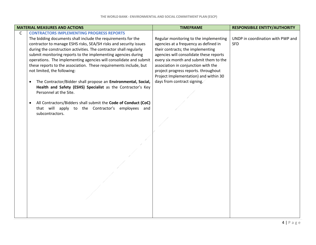|   | <b>MATERIAL MEASURES AND ACTIONS</b>                                                                                                                                                                                                                                                                                                                                                                                                                                                                                                                                                                                                                                                                                                                                                                                   | <b>TIMEFRAME</b>                                                                                                                                                                                                                                                                                                                                                 | <b>RESPONSIBILE ENTITY/AUTHORITY</b>            |
|---|------------------------------------------------------------------------------------------------------------------------------------------------------------------------------------------------------------------------------------------------------------------------------------------------------------------------------------------------------------------------------------------------------------------------------------------------------------------------------------------------------------------------------------------------------------------------------------------------------------------------------------------------------------------------------------------------------------------------------------------------------------------------------------------------------------------------|------------------------------------------------------------------------------------------------------------------------------------------------------------------------------------------------------------------------------------------------------------------------------------------------------------------------------------------------------------------|-------------------------------------------------|
| C | <b>CONTRACTORS IMPLEMENTING PROGRESS REPORTS</b><br>The bidding documents shall include the requirements for the<br>contractor to manage ESHS risks, SEA/SH risks and security issues<br>during the construction activities. The contractor shall regularly<br>submit monitoring reports to the implementing agencies during<br>operations. The implementing agencies will consolidate and submit<br>these reports to the association. These requirements include, but<br>not limited, the following:<br>The Contractor/Bidder shall propose an Environmental, Social,<br>$\bullet$<br>Health and Safety (ESHS) Specialist as the Contractor's Key<br>Personnel at the Site.<br>All Contractors/Bidders shall submit the Code of Conduct (CoC)<br>that will apply to the Contractor's employees and<br>subcontractors. | Regular monitoring to the implementing<br>agencies at a frequency as defined in<br>their contracts; the implementing<br>agencies will consolidate these reports<br>every six month and submit them to the<br>association in conjunction with the<br>project progress reports. throughout<br>Project Implementation) and within 30<br>days from contract signing. | UNDP in coordination with PWP and<br><b>SFD</b> |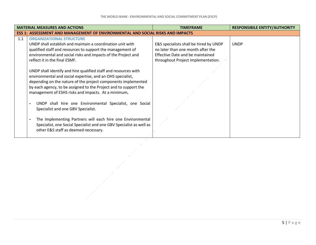|     | <b>MATERIAL MEASURES AND ACTIONS</b>                                                                                                                                                                                                                                                                                      | <b>TIMEFRAME</b>                                                                                                                                      | <b>RESPONSIBILE ENTITY/AUTHORITY</b> |
|-----|---------------------------------------------------------------------------------------------------------------------------------------------------------------------------------------------------------------------------------------------------------------------------------------------------------------------------|-------------------------------------------------------------------------------------------------------------------------------------------------------|--------------------------------------|
|     | ESS 1: ASSESSMENT AND MANAGEMENT OF ENVIRONMENTAL AND SOCIAL RISKS AND IMPACTS                                                                                                                                                                                                                                            |                                                                                                                                                       |                                      |
| 1.1 | <b>ORGANIZATIONAL STRUCTURE</b><br>UNDP shall establish and maintain a coordination unit with<br>qualified staff and resources to support the management of<br>environmental and social risks and impacts of the Project and<br>reflect it in the final ESMF.                                                             | E&S specialists shall be hired by UNDP<br>no later than one month after the<br>Effective Date and be maintained<br>throughout Project implementation. | <b>UNDP</b>                          |
|     | UNDP shall identify and hire qualified staff and resources with<br>environmental and social expertise, and an OHS specialist,<br>depending on the nature of the project components implemented<br>by each agency, to be assigned to the Project and to support the<br>management of ESHS risks and impacts. At a minimum, |                                                                                                                                                       |                                      |
|     | UNDP shall hire one Environmental Specialist, one Social<br>Specialist and one GBV Specialist.<br>The Implementing Partners will each hire one Environmental                                                                                                                                                              |                                                                                                                                                       |                                      |
|     | Specialist, one Social Specialist and one GBV Specialist as well as<br>other E&S staff as deemed necessary.                                                                                                                                                                                                               |                                                                                                                                                       |                                      |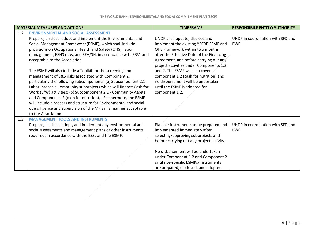|     | <b>MATERIAL MEASURES AND ACTIONS</b>                                                    | <b>TIMEFRAME</b>                          | <b>RESPONSIBILE ENTITY/AUTHORITY</b> |
|-----|-----------------------------------------------------------------------------------------|-------------------------------------------|--------------------------------------|
| 1.2 | <b>ENVIRONMENTAL AND SOCIAL ASSESSMENT</b>                                              |                                           |                                      |
|     | Prepare, disclose, adopt and implement the Environmental and                            | UNDP shall update, disclose and           | UNDP in coordination with SFD and    |
|     | Social Management Framework (ESMF), which shall include                                 | implement the existing YECRP ESMF and     | <b>PWP</b>                           |
|     | provisions on Occupational Health and Safety (OHS), labor                               | OHS Framework within two months           |                                      |
|     | management, ESHS risks, and SEA/SH, in accordance with ESS1 and                         | after the Effective Date of the Financing |                                      |
|     | acceptable to the Association.                                                          | Agreement, and before carrying out any    |                                      |
|     |                                                                                         | project activities under Components 1.2   |                                      |
|     | The ESMF will also include a Toolkit for the screening and                              | and 2. The ESMF will also cover           |                                      |
|     | management of E&S risks associated with Component 2,                                    | component 1.2 (cash for nutrition) and    |                                      |
|     | particularly the following subcomponents: (a) Subcomponent 2.1-                         | no disbursement will be undertaken        |                                      |
|     | Labor Intensive Community subprojects which will finance Cash for                       | until the ESMF is adopted for             |                                      |
|     | Work (CfW) activities; (b) Subcomponent 2.2 - Community Assets                          | component 1.2.                            |                                      |
|     | and Component 1.2 (cash for nutrition), . Furthermore, the ESMF                         |                                           |                                      |
|     | will include a process and structure for Environmental and social                       |                                           |                                      |
|     | due diligence and supervision of the MFIs in a manner acceptable<br>to the Association. |                                           |                                      |
|     | <b>MANAGEMENT TOOLS AND INSTRUMENTS</b>                                                 |                                           |                                      |
| 1.3 | Prepare, disclose, adopt, and implement any environmental and                           | Plans or instruments to be prepared and   | UNDP in coordination with SFD and    |
|     | social assessments and management plans or other instruments                            | implemented immediately after             | <b>PWP</b>                           |
|     | required, in accordance with the ESSs and the ESMF.                                     | selecting/approving subprojects and       |                                      |
|     |                                                                                         | before carrying out any project activity. |                                      |
|     |                                                                                         |                                           |                                      |
|     |                                                                                         | No disbursement will be undertaken        |                                      |
|     |                                                                                         | under Component 1.2 and Component 2       |                                      |
|     |                                                                                         | until site-specific ESMPs/instruments     |                                      |
|     |                                                                                         | are prepared, disclosed, and adopted.     |                                      |
|     |                                                                                         |                                           |                                      |
|     |                                                                                         |                                           |                                      |
|     |                                                                                         |                                           |                                      |
|     |                                                                                         |                                           |                                      |
|     |                                                                                         |                                           |                                      |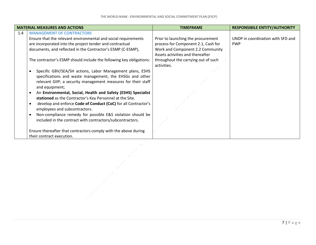|     | <b>MATERIAL MEASURES AND ACTIONS</b>                                | <b>TIMEFRAME</b>                    | <b>RESPONSIBILE ENTITY/AUTHORITY</b> |
|-----|---------------------------------------------------------------------|-------------------------------------|--------------------------------------|
| 1.4 | <b>MANAGEMENT OF CONTRACTORS</b>                                    |                                     |                                      |
|     | Ensure that the relevant environmental and social requirements      | Prior to launching the procurement  | UNDP in coordination with SFD and    |
|     | are incorporated into the project tender and contractual            | process for Component 2.1, Cash for | <b>PWP</b>                           |
|     | documents, and reflected in the Contractor's ESMP (C-ESMP),         | Work and Component 2.2 Community    |                                      |
|     |                                                                     | Assets activities and thereafter    |                                      |
|     | The contractor's ESMP should include the following key obligations: | throughout the carrying out of such |                                      |
|     |                                                                     | activities.                         |                                      |
|     | Specific GBV/SEA/SH actions, Labor Management plans, ESHS           |                                     |                                      |
|     | specifications and waste management, the EHSGs and other            |                                     |                                      |
|     | relevant GIIP; a security management measures for their staff       |                                     |                                      |
|     | and equipment;                                                      |                                     |                                      |
|     | An Environmental, Social, Health and Safety (ESHS) Specialist       |                                     |                                      |
|     | stationed as the Contractor's Key Personnel at the Site.            |                                     |                                      |
|     | develop and enforce Code of Conduct (CoC) for all Contractor's      |                                     |                                      |
|     | employees and subcontractors.                                       |                                     |                                      |
|     | Non-compliance remedy for possible E&S violation should be          |                                     |                                      |
|     | included in the contract with contractors/subcontractors.           |                                     |                                      |
|     |                                                                     |                                     |                                      |
|     | Ensure thereafter that contractors comply with the above during     |                                     |                                      |
|     | their contract execution.                                           |                                     |                                      |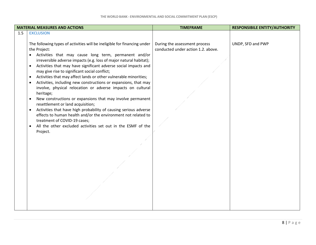|     | <b>MATERIAL MEASURES AND ACTIONS</b>                                                                                                                                                                                                                                                                                                                                                                                                                                                                                                                                                                                                                                                                                                                                                                                                                                                                                            | <b>TIMEFRAME</b>                                                    | <b>RESPONSIBILE ENTITY/AUTHORITY</b> |
|-----|---------------------------------------------------------------------------------------------------------------------------------------------------------------------------------------------------------------------------------------------------------------------------------------------------------------------------------------------------------------------------------------------------------------------------------------------------------------------------------------------------------------------------------------------------------------------------------------------------------------------------------------------------------------------------------------------------------------------------------------------------------------------------------------------------------------------------------------------------------------------------------------------------------------------------------|---------------------------------------------------------------------|--------------------------------------|
| 1.5 | <b>EXCLUSION</b>                                                                                                                                                                                                                                                                                                                                                                                                                                                                                                                                                                                                                                                                                                                                                                                                                                                                                                                |                                                                     |                                      |
|     | The following types of activities will be ineligible for financing under<br>the Project:<br>Activities that may cause long term, permanent and/or<br>irreversible adverse impacts (e.g. loss of major natural habitat);<br>Activities that may have significant adverse social impacts and<br>may give rise to significant social conflict;<br>Activities that may affect lands or other vulnerable minorities;<br>Activities, including new constructions or expansions, that may<br>involve, physical relocation or adverse impacts on cultural<br>heritage;<br>New constructions or expansions that may involve permanent<br>resettlement or land acquisition;<br>Activities that have high probability of causing serious adverse<br>$\bullet$<br>effects to human health and/or the environment not related to<br>treatment of COVID-19 cases;<br>All the other excluded activities set out in the ESMF of the<br>Project. | During the assessment process<br>conducted under action 1.2. above. | UNDP, SFD and PWP                    |
|     |                                                                                                                                                                                                                                                                                                                                                                                                                                                                                                                                                                                                                                                                                                                                                                                                                                                                                                                                 |                                                                     |                                      |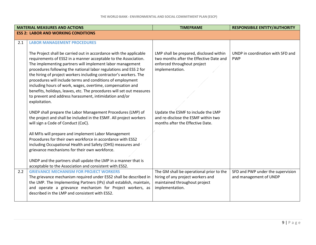|     | <b>MATERIAL MEASURES AND ACTIONS</b>                                                                                                                                                                                                                                                                                                                                                                                                                                                                                                                                                                                         | <b>TIMEFRAME</b>                                                                                                                     | <b>RESPONSIBILE ENTITY/AUTHORITY</b>                        |
|-----|------------------------------------------------------------------------------------------------------------------------------------------------------------------------------------------------------------------------------------------------------------------------------------------------------------------------------------------------------------------------------------------------------------------------------------------------------------------------------------------------------------------------------------------------------------------------------------------------------------------------------|--------------------------------------------------------------------------------------------------------------------------------------|-------------------------------------------------------------|
|     | <b>ESS 2: LABOR AND WORKING CONDITIONS</b>                                                                                                                                                                                                                                                                                                                                                                                                                                                                                                                                                                                   |                                                                                                                                      |                                                             |
| 2.1 | <b>LABOR MANAGEMENT PROCEDURES</b>                                                                                                                                                                                                                                                                                                                                                                                                                                                                                                                                                                                           |                                                                                                                                      |                                                             |
|     | The Project shall be carried out in accordance with the applicable<br>requirements of ESS2 in a manner acceptable to the Association.<br>The implementing partners will implement labor management<br>procedures following the national labor regulations and ESS 2 for<br>the hiring of project workers including contractor's workers. The<br>procedures will include terms and conditions of employment<br>including hours of work, wages, overtime, compensation and<br>benefits, holidays, leaves, etc. The procedures will set out measures<br>to prevent and address harassment, intimidation and/or<br>exploitation. | LMP shall be prepared, disclosed within<br>two months after the Effective Date and<br>enforced throughout project<br>implementation. | UNDP in coordination with SFD and<br><b>PWP</b>             |
|     | UNDP shall prepare the Labor Management Procedures (LMP) of<br>the project and shall be included in the ESMF. All project workers<br>will sign a Code of Conduct (CoC).                                                                                                                                                                                                                                                                                                                                                                                                                                                      | Update the ESMF to include the LMP<br>and re-disclose the ESMF within two<br>months after the Effective Date.                        |                                                             |
|     | All MFIs will prepare and implement Labor Management<br>Procedures for their own workforce in accordance with ESS2<br>including Occupational Health and Safety (OHS) measures and<br>grievance mechanisms for their own workforce.<br>UNDP and the partners shall update the LMP in a manner that is                                                                                                                                                                                                                                                                                                                         |                                                                                                                                      |                                                             |
| 2.2 | acceptable to the Association and consistent with ESS2.<br><b>GRIEVANCE MECHANISM FOR PROJECT WORKERS</b><br>The grievance mechanism required under ESS2 shall be described in<br>the LMP. The Implementing Partners (IPs) shall establish, maintain,<br>and operate a grievance mechanism for Project workers, as<br>described in the LMP and consistent with ESS2.                                                                                                                                                                                                                                                         | The GM shall be operational prior to the<br>hiring of any project workers and<br>maintained throughout project<br>implementation.    | SFD and PWP under the supervision<br>and management of UNDP |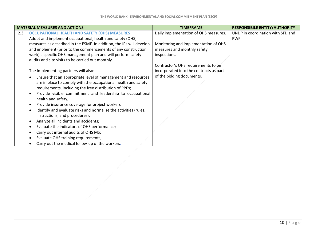|     | <b>MATERIAL MEASURES AND ACTIONS</b>                                 | <b>TIMEFRAME</b>                        | <b>RESPONSIBILE ENTITY/AUTHORITY</b> |
|-----|----------------------------------------------------------------------|-----------------------------------------|--------------------------------------|
| 2.3 | <b>OCCUPATIONAL HEALTH AND SAFETY (OHS) MEASURES</b>                 | Daily implementation of OHS measures.   | UNDP in coordination with SFD and    |
|     | Adopt and implement occupational, health and safety (OHS)            |                                         | <b>PWP</b>                           |
|     | measures as described in the ESMF. In addition, the IPs will develop | Monitoring and implementation of OHS    |                                      |
|     | and implement (prior to the commencements of any construction        | measures and monthly safety             |                                      |
|     | work) a specific OHS management plan and will perform safety         | inspections.                            |                                      |
|     | audits and site visits to be carried out monthly.                    |                                         |                                      |
|     |                                                                      | Contractor's OHS requirements to be     |                                      |
|     | The Implementing partners will also:                                 | incorporated into the contracts as part |                                      |
|     | Ensure that an appropriate level of management and resources         | of the bidding documents.               |                                      |
|     | are in place to comply with the occupational health and safety       |                                         |                                      |
|     | requirements, including the free distribution of PPEs;               |                                         |                                      |
|     | Provide visible commitment and leadership to occupational            |                                         |                                      |
|     | health and safety;                                                   |                                         |                                      |
|     | Provide insurance coverage for project workers                       |                                         |                                      |
|     | Identify and evaluate risks and normalize the activities (rules,     |                                         |                                      |
|     | instructions, and procedures);                                       |                                         |                                      |
|     | Analyze all incidents and accidents;                                 |                                         |                                      |
|     | Evaluate the indicators of OHS performance;                          |                                         |                                      |
|     | Carry out internal audits of OHS MS;                                 |                                         |                                      |
|     | Evaluate OHS training requirements,                                  |                                         |                                      |
|     | Carry out the medical follow-up of the workers.                      |                                         |                                      |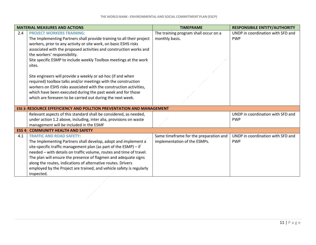|     | <b>MATERIAL MEASURES AND ACTIONS</b>                                                                                                                                                                                                                                                                                                                                                                                                                                                                                                                                                                                                                                                                  | <b>TIMEFRAME</b>                                                       | <b>RESPONSIBILE ENTITY/AUTHORITY</b>            |
|-----|-------------------------------------------------------------------------------------------------------------------------------------------------------------------------------------------------------------------------------------------------------------------------------------------------------------------------------------------------------------------------------------------------------------------------------------------------------------------------------------------------------------------------------------------------------------------------------------------------------------------------------------------------------------------------------------------------------|------------------------------------------------------------------------|-------------------------------------------------|
| 2.4 | <b>PROJECT WORKERS TRAINING:</b><br>The Implementing Partners shall provide training to all their project<br>workers, prior to any activity or site work, on basic ESHS risks<br>associated with the proposed activities and construction works and<br>the workers' responsibility.<br>Site specific ESMP to include weekly Toolbox meetings at the work<br>sites.<br>Site engineers will provide a weekly or ad-hoc (if and when<br>required) toolbox talks and/or meetings with the construction<br>workers on ESHS risks associated with the construction activities,<br>which have been executed during the past week and for those<br>which are foreseen to be carried out during the next week. | The training program shall occur on a<br>monthly basis.                | UNDP in coordination with SFD and<br><b>PWP</b> |
|     | <b>ESS 3: RESOURCE EFFEFICIENCY AND POLLTION PREVENTATION AND MANAGEMENT</b>                                                                                                                                                                                                                                                                                                                                                                                                                                                                                                                                                                                                                          |                                                                        |                                                 |
|     | Relevant aspects of this standard shall be considered, as needed,<br>under action 1.2 above, including, inter alia, provisions on waste<br>management will be included in the ESMF                                                                                                                                                                                                                                                                                                                                                                                                                                                                                                                    |                                                                        | UNDP in coordination with SFD and<br><b>PWP</b> |
|     | <b>ESS 4: COMMUNITY HEALTH AND SAFETY</b>                                                                                                                                                                                                                                                                                                                                                                                                                                                                                                                                                                                                                                                             |                                                                        |                                                 |
| 4.1 | <b>TRAFFIC AND ROAD SAFETY:</b><br>The Implementing Partners shall develop, adopt and implement a<br>site-specific traffic management plan (as part of the ESMP) - if<br>needed - with details on traffic volume, routes and time of travel.<br>The plan will ensure the presence of flagmen and adequate signs<br>along the routes, indications of alternative routes. Drivers<br>employed by the Project are trained, and vehicle safety is regularly<br>inspected.                                                                                                                                                                                                                                 | Same timeframe for the preparation and<br>implementation of the ESMPs. | UNDP in coordination with SFD and<br><b>PWP</b> |
|     |                                                                                                                                                                                                                                                                                                                                                                                                                                                                                                                                                                                                                                                                                                       |                                                                        |                                                 |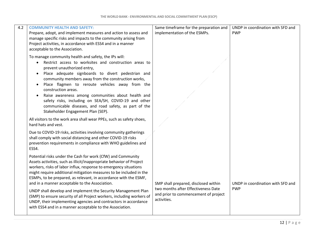| 4.2 | <b>COMMUNITY HEALTH AND SAFETY:</b>                                                                                                                                                                                                                                                                                                               | Same timeframe for the preparation and                                                     | UNDP in coordination with SFD and |
|-----|---------------------------------------------------------------------------------------------------------------------------------------------------------------------------------------------------------------------------------------------------------------------------------------------------------------------------------------------------|--------------------------------------------------------------------------------------------|-----------------------------------|
|     | Prepare, adopt, and implement measures and action to assess and                                                                                                                                                                                                                                                                                   | implementation of the ESMPs.                                                               | <b>PWP</b>                        |
|     | manage specific risks and impacts to the community arising from<br>Project activities, in accordance with ESS4 and in a manner                                                                                                                                                                                                                    |                                                                                            |                                   |
|     | acceptable to the Association.                                                                                                                                                                                                                                                                                                                    |                                                                                            |                                   |
|     | To manage community health and safety, the IPs will:<br>Restrict access to worksites and construction areas to<br>prevent unauthorized entry,                                                                                                                                                                                                     |                                                                                            |                                   |
|     | Place adequate signboards to divert pedestrian and<br>$\bullet$<br>community members away from the construction works,<br>Place flagmen to reroute vehicles away from the<br>$\bullet$                                                                                                                                                            |                                                                                            |                                   |
|     | construction areas.<br>Raise awareness among communities about health and<br>safety risks, including on SEA/SH, COVID-19 and other<br>communicable diseases, and road safety, as part of the<br>Stakeholder Engagement Plan (SEP).                                                                                                                |                                                                                            |                                   |
|     | All visitors to the work area shall wear PPEs, such as safety shoes,<br>hard hats and vest.                                                                                                                                                                                                                                                       |                                                                                            |                                   |
|     | Due to COVID-19 risks, activities involving community gatherings<br>shall comply with social distancing and other COVID-19 risks<br>prevention requirements in compliance with WHO guidelines and<br>ESS4.                                                                                                                                        |                                                                                            |                                   |
|     | Potential risks under the Cash for work (CfW) and Community<br>Assets activities, such as illicit/inappropriate behavior of Project<br>workers, risks of labor influx, response to emergency situations<br>might require additional mitigation measures to be included in the<br>ESMPs, to be prepared, as relevant, in accordance with the ESMF, |                                                                                            |                                   |
|     | and in a manner acceptable to the Association.                                                                                                                                                                                                                                                                                                    | SMP shall prepared, disclosed within                                                       | UNDP in coordination with SFD and |
|     | UNDP shall develop and implement the Security Management Plan<br>(SMP) to ensure security of all Project workers, including workers of<br>UNDP, their implementing agencies and contractors in accordance<br>with ESS4 and in a manner acceptable to the Association.                                                                             | two months after Effectiveness Date<br>and prior to commencement of project<br>activities. | <b>PWP</b>                        |
|     |                                                                                                                                                                                                                                                                                                                                                   |                                                                                            |                                   |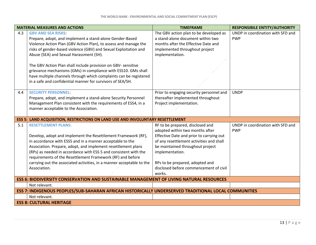| UNDP in coordination with SFD and<br>The GBV action plan to be developed as<br>4.3<br><b>GBV AND SEA RISKS:</b><br>a stand-alone document within two<br>Prepare, adopt, and implement a stand-alone Gender-Based<br><b>PWP</b><br>Violence Action Plan (GBV Action Plan), to assess and manage the<br>months after the Effective Date and<br>risks of gender-based violence (GBV) and Sexual Exploitation and<br>implemented throughout project<br>Abuse (SEA) and Sexual Harassment (SH).<br>implementation.<br>The GBV Action Plan shall include provision on GBV- sensitive<br>grievance mechanisms (GMs) in compliance with ESS10. GMs shall<br>have multiple channels through which complaints can be registered<br>in a safe and confidential manner for survivors of SEA/SH.<br><b>SECURITY PERSONNEL:</b><br><b>UNDP</b><br>Prior to engaging security personnel and<br>4.4<br>thereafter implemented throughout<br>Prepare, adopt, and implement a stand-alone Security Personnel<br>Management Plan consistent with the requirements of ESS4, in a<br>Project implementation.<br>manner acceptable to the Association.<br><b>ESS 5: LAND ACQUISITION, RESTRICTIONS ON LAND USE AND INVOLUNTARY RESETTLEMENT</b><br>UNDP in coordination with SFD and<br>5.1<br><b>RESETTLEMENT PLANS:</b><br>RF to be prepared, disclosed and<br>adopted within two months after<br><b>PWP</b><br>Develop, adopt and implement the Resettlement Framework (RF),<br>Effective Date and prior to carrying out |
|-------------------------------------------------------------------------------------------------------------------------------------------------------------------------------------------------------------------------------------------------------------------------------------------------------------------------------------------------------------------------------------------------------------------------------------------------------------------------------------------------------------------------------------------------------------------------------------------------------------------------------------------------------------------------------------------------------------------------------------------------------------------------------------------------------------------------------------------------------------------------------------------------------------------------------------------------------------------------------------------------------------------------------------------------------------------------------------------------------------------------------------------------------------------------------------------------------------------------------------------------------------------------------------------------------------------------------------------------------------------------------------------------------------------------------------------------------------------------------------------------------|
|                                                                                                                                                                                                                                                                                                                                                                                                                                                                                                                                                                                                                                                                                                                                                                                                                                                                                                                                                                                                                                                                                                                                                                                                                                                                                                                                                                                                                                                                                                       |
|                                                                                                                                                                                                                                                                                                                                                                                                                                                                                                                                                                                                                                                                                                                                                                                                                                                                                                                                                                                                                                                                                                                                                                                                                                                                                                                                                                                                                                                                                                       |
|                                                                                                                                                                                                                                                                                                                                                                                                                                                                                                                                                                                                                                                                                                                                                                                                                                                                                                                                                                                                                                                                                                                                                                                                                                                                                                                                                                                                                                                                                                       |
|                                                                                                                                                                                                                                                                                                                                                                                                                                                                                                                                                                                                                                                                                                                                                                                                                                                                                                                                                                                                                                                                                                                                                                                                                                                                                                                                                                                                                                                                                                       |
|                                                                                                                                                                                                                                                                                                                                                                                                                                                                                                                                                                                                                                                                                                                                                                                                                                                                                                                                                                                                                                                                                                                                                                                                                                                                                                                                                                                                                                                                                                       |
|                                                                                                                                                                                                                                                                                                                                                                                                                                                                                                                                                                                                                                                                                                                                                                                                                                                                                                                                                                                                                                                                                                                                                                                                                                                                                                                                                                                                                                                                                                       |
|                                                                                                                                                                                                                                                                                                                                                                                                                                                                                                                                                                                                                                                                                                                                                                                                                                                                                                                                                                                                                                                                                                                                                                                                                                                                                                                                                                                                                                                                                                       |
|                                                                                                                                                                                                                                                                                                                                                                                                                                                                                                                                                                                                                                                                                                                                                                                                                                                                                                                                                                                                                                                                                                                                                                                                                                                                                                                                                                                                                                                                                                       |
|                                                                                                                                                                                                                                                                                                                                                                                                                                                                                                                                                                                                                                                                                                                                                                                                                                                                                                                                                                                                                                                                                                                                                                                                                                                                                                                                                                                                                                                                                                       |
|                                                                                                                                                                                                                                                                                                                                                                                                                                                                                                                                                                                                                                                                                                                                                                                                                                                                                                                                                                                                                                                                                                                                                                                                                                                                                                                                                                                                                                                                                                       |
|                                                                                                                                                                                                                                                                                                                                                                                                                                                                                                                                                                                                                                                                                                                                                                                                                                                                                                                                                                                                                                                                                                                                                                                                                                                                                                                                                                                                                                                                                                       |
| of any resettlement activities and shall<br>in accordance with ESS5 and in a manner acceptable to the                                                                                                                                                                                                                                                                                                                                                                                                                                                                                                                                                                                                                                                                                                                                                                                                                                                                                                                                                                                                                                                                                                                                                                                                                                                                                                                                                                                                 |
| be maintained throughout project<br>Association. Prepare, adopt, and implement resettlement plans                                                                                                                                                                                                                                                                                                                                                                                                                                                                                                                                                                                                                                                                                                                                                                                                                                                                                                                                                                                                                                                                                                                                                                                                                                                                                                                                                                                                     |
| (RPs) as needed in accordance with ESS 5 and consistent with the<br>implementation.                                                                                                                                                                                                                                                                                                                                                                                                                                                                                                                                                                                                                                                                                                                                                                                                                                                                                                                                                                                                                                                                                                                                                                                                                                                                                                                                                                                                                   |
| requirements of the Resettlement Framework (RF) and before                                                                                                                                                                                                                                                                                                                                                                                                                                                                                                                                                                                                                                                                                                                                                                                                                                                                                                                                                                                                                                                                                                                                                                                                                                                                                                                                                                                                                                            |
| carrying out the associated activities, in a manner acceptable to the<br>RPs to be prepared, adopted and                                                                                                                                                                                                                                                                                                                                                                                                                                                                                                                                                                                                                                                                                                                                                                                                                                                                                                                                                                                                                                                                                                                                                                                                                                                                                                                                                                                              |
| Association.<br>disclosed before commencement of civil<br>works.                                                                                                                                                                                                                                                                                                                                                                                                                                                                                                                                                                                                                                                                                                                                                                                                                                                                                                                                                                                                                                                                                                                                                                                                                                                                                                                                                                                                                                      |
| <b>ESS 6: BIODIVERSITY CONSERVATION AND SUSTAINABLE MANAGEMENT OF LIVING NATURAL RESOURCES</b>                                                                                                                                                                                                                                                                                                                                                                                                                                                                                                                                                                                                                                                                                                                                                                                                                                                                                                                                                                                                                                                                                                                                                                                                                                                                                                                                                                                                        |
| Not relevant.                                                                                                                                                                                                                                                                                                                                                                                                                                                                                                                                                                                                                                                                                                                                                                                                                                                                                                                                                                                                                                                                                                                                                                                                                                                                                                                                                                                                                                                                                         |
| ESS 7: INDIGENOUS PEOPLES/SUB-SAHARAN AFRICAN HISTORICALLY UNDERSERVED TRADITIONAL LOCAL COMMUNITIES                                                                                                                                                                                                                                                                                                                                                                                                                                                                                                                                                                                                                                                                                                                                                                                                                                                                                                                                                                                                                                                                                                                                                                                                                                                                                                                                                                                                  |
|                                                                                                                                                                                                                                                                                                                                                                                                                                                                                                                                                                                                                                                                                                                                                                                                                                                                                                                                                                                                                                                                                                                                                                                                                                                                                                                                                                                                                                                                                                       |
| Not relevant.                                                                                                                                                                                                                                                                                                                                                                                                                                                                                                                                                                                                                                                                                                                                                                                                                                                                                                                                                                                                                                                                                                                                                                                                                                                                                                                                                                                                                                                                                         |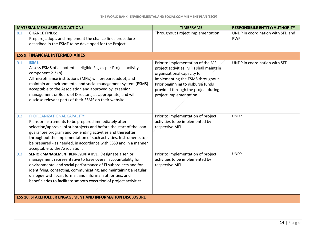|     | <b>MATERIAL MEASURES AND ACTIONS</b>                                                                                                                                                                                                                                                                                                                                                                                            | <b>TIMEFRAME</b>                                                                                                                                                                                                                                       | <b>RESPONSIBILE ENTITY/AUTHORITY</b>            |
|-----|---------------------------------------------------------------------------------------------------------------------------------------------------------------------------------------------------------------------------------------------------------------------------------------------------------------------------------------------------------------------------------------------------------------------------------|--------------------------------------------------------------------------------------------------------------------------------------------------------------------------------------------------------------------------------------------------------|-------------------------------------------------|
| 8.1 | <b>CHANCE FINDS:</b><br>Prepare, adopt, and implement the chance finds procedure<br>described in the ESMF to be developed for the Project.                                                                                                                                                                                                                                                                                      | Throughout Project implementation                                                                                                                                                                                                                      | UNDP in coordination with SFD and<br><b>PWP</b> |
|     | <b>ESS 9: FINANCIAL INTERMEDIARIES</b>                                                                                                                                                                                                                                                                                                                                                                                          |                                                                                                                                                                                                                                                        |                                                 |
| 9.1 | <b>ESMS:</b><br>Assess ESMS of all potential eligible FIs, as per Project activity<br>component 2.3 (b).<br>All microfinance institutions (MFIs) will prepare, adopt, and<br>maintain an environmental and social management system (ESMS)<br>acceptable to the Association and approved by its senior<br>management or Board of Directors, as appropriate, and will<br>disclose relevant parts of their ESMS on their website. | Prior to implementation of the MFI<br>project activities. MFIs shall maintain<br>organizational capacity for<br>implementing the ESMS throughout<br>Prior beginning to disburse funds<br>provided through the project during<br>project implementation | UNDP in coordination with SFD                   |
| 9.2 | FI ORGANIZATIONAL CAPACITY:<br>Plans or instruments to be prepared immediately after<br>selection/approval of subprojects and before the start of the loan<br>guarantee program and on-lending activities and thereafter<br>throughout the implementation of such activities. Instruments to<br>be prepared - as needed, in accordance with ESS9 and in a manner<br>acceptable to the Association.                              | Prior to implementation of project<br>activities to be implemented by<br>respective MFI                                                                                                                                                                | <b>UNDP</b>                                     |
| 9.3 | SENIOR MANAGEMENT REPRESENTATIVE: Designate a senior<br>management representative to have overall accountability for<br>environmental and social performance of FI subprojects and for<br>identifying, contacting, communicating, and maintaining a regular<br>dialogue with local, formal, and informal authorities, and<br>beneficiaries to facilitate smooth execution of project activities.                                | Prior to implementation of project<br>activities to be implemented by<br>respective MFI                                                                                                                                                                | <b>UNDP</b>                                     |
|     | <b>ESS 10: STAKEHOLDER ENGAGEMENT AND INFORMATION DISCLOSURE</b>                                                                                                                                                                                                                                                                                                                                                                |                                                                                                                                                                                                                                                        |                                                 |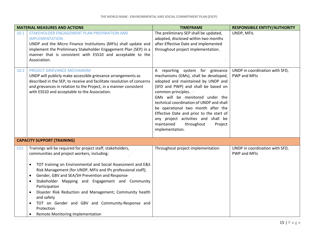| <b>MATERIAL MEASURES AND ACTIONS</b> |                                                                                                                                                                                                                                                                                                                                                                                                                                                                                                                                                                                         | <b>TIMEFRAME</b>                                                                                                                                                                                                                                                                                                                                                                                                                               | <b>RESPONSIBILE ENTITY/AUTHORITY</b>                  |  |
|--------------------------------------|-----------------------------------------------------------------------------------------------------------------------------------------------------------------------------------------------------------------------------------------------------------------------------------------------------------------------------------------------------------------------------------------------------------------------------------------------------------------------------------------------------------------------------------------------------------------------------------------|------------------------------------------------------------------------------------------------------------------------------------------------------------------------------------------------------------------------------------------------------------------------------------------------------------------------------------------------------------------------------------------------------------------------------------------------|-------------------------------------------------------|--|
| 10.1                                 | STAKEHOLDER ENGAGEMENT PLAN PREPARATION AND<br><b>IMPLEMENTATION</b><br>UNDP and the Micro Finance Institutions (MFIs) shall update and<br>implement the Preliminary Stakeholder Engagement Plan (SEP) in a<br>manner that is consistent with ESS10 and acceptable to the<br>Association.                                                                                                                                                                                                                                                                                               | The preliminary SEP shall be updated,<br>adopted, disclosed within two months<br>after Effective Date and implemented<br>throughout project implementation.                                                                                                                                                                                                                                                                                    | UNDP, MFIs                                            |  |
| 10.2                                 | <b>PROJECT GRIEVANCE MECHANISM</b><br>UNDP will publicly make accessible grievance arrangements as<br>described in the SEP, to receive and facilitate resolution of concerns<br>and grievances in relation to the Project, in a manner consistent<br>with ESS10 and acceptable to the Association.                                                                                                                                                                                                                                                                                      | A reporting system for grievance<br>mechanisms (GMs), shall be developed,<br>adopted and maintained by UNDP and<br>(SFD and PWP) and shall be based on<br>common principles.<br>GMs will be monitored under the<br>technical coordination of UNDP and shall<br>be operational two month after the<br>Effective Date and prior to the start of<br>any project activities and shall be<br>maintained<br>throughout<br>Project<br>implementation. | UNDP in coordination with SFD,<br>PWP and MFIs        |  |
| <b>CAPACITY SUPPORT (TRAINING)</b>   |                                                                                                                                                                                                                                                                                                                                                                                                                                                                                                                                                                                         |                                                                                                                                                                                                                                                                                                                                                                                                                                                |                                                       |  |
| CS <sub>1</sub>                      | Trainings will be required for project staff, stakeholders,<br>communities and project workers, including:<br>TOT training on Environmental and Social Assessment and E&S<br>$\bullet$<br>Risk Management (for UNDP, MFIs and IPs professional staff);<br>Gender, GBV and SEA/SH Prevention and Response<br>$\bullet$<br>Stakeholder Mapping and Engagement and Community<br>$\bullet$<br>Participation<br>Disaster Risk Reduction and Management; Community health<br>and safety<br>TOT on Gender and GBV and Community-Response and<br>Protection<br>Remote Monitoring Implementation | Throughout project implementation                                                                                                                                                                                                                                                                                                                                                                                                              | UNDP in coordination with SFD,<br><b>PWP and MFIs</b> |  |